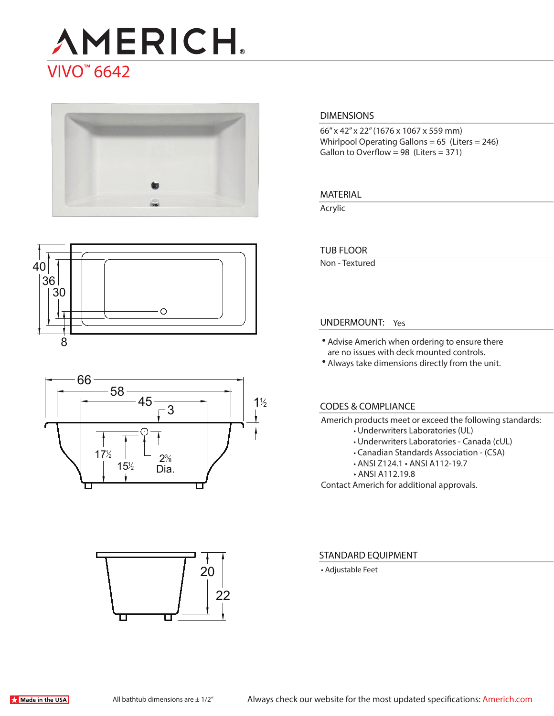# **AMERICH** VIVO™ 6642







# 22 20

#### **DIMENSIONS**

66" x 42" x 22" (1676 x 1067 x 559 mm) Whirlpool Operating Gallons = 65 (Liters = 246) Gallon to Overflow = 98 (Liters =  $371$ )

#### **MATERIAL**

Acrylic

#### **TUB FLOOR**

Non - Textured

#### **UNDERMOUNT:** Yes

- Advise Americh when ordering to ensure there are no issues with deck mounted controls.
- Always take dimensions directly from the unit.

#### **CODES & COMPLIANCE**

Americh products meet or exceed the following standards:

- Underwriters Laboratories (UL)
- Underwriters Laboratories Canada (cUL)
- Canadian Standards Association (CSA)
- ANSI Z124.1 ANSI A112-19.7
- ANSI A112.19.8

Contact Americh for additional approvals.

#### **STANDARD EQUIPMENT**

• Adjustable Feet